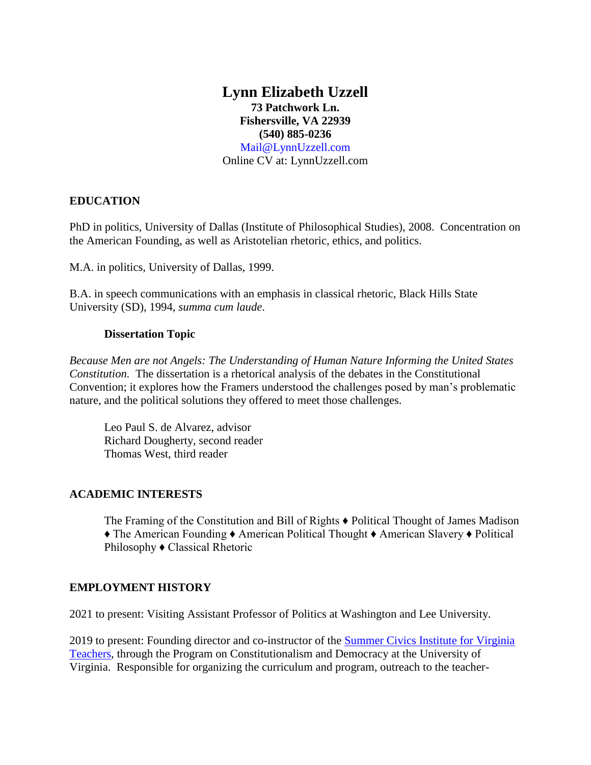# **Lynn Elizabeth Uzzell 73 Patchwork Ln. Fishersville, VA 22939 (540) 885-0236**

Mail@LynnUzzell.com Online CV at: LynnUzzell.com

#### **EDUCATION**

PhD in politics, University of Dallas (Institute of Philosophical Studies), 2008. Concentration on the American Founding, as well as Aristotelian rhetoric, ethics, and politics.

M.A. in politics, University of Dallas, 1999.

B.A. in speech communications with an emphasis in classical rhetoric, Black Hills State University (SD), 1994, *summa cum laude*.

#### **Dissertation Topic**

*Because Men are not Angels: The Understanding of Human Nature Informing the United States Constitution.* The dissertation is a rhetorical analysis of the debates in the Constitutional Convention; it explores how the Framers understood the challenges posed by man's problematic nature, and the political solutions they offered to meet those challenges.

Leo Paul S. de Alvarez, advisor Richard Dougherty, second reader Thomas West, third reader

#### **ACADEMIC INTERESTS**

The Framing of the Constitution and Bill of Rights ♦ Political Thought of James Madison ♦ The American Founding ♦ American Political Thought ♦ American Slavery ♦ Political Philosophy ♦ Classical Rhetoric

#### **EMPLOYMENT HISTORY**

2021 to present: Visiting Assistant Professor of Politics at Washington and Lee University.

2019 to present: Founding director and co-instructor of the [Summer Civics Institute for Virginia](https://pcd.virginia.edu/summer-civics-institute)  [Teachers,](https://pcd.virginia.edu/summer-civics-institute) through the Program on Constitutionalism and Democracy at the University of Virginia. Responsible for organizing the curriculum and program, outreach to the teacher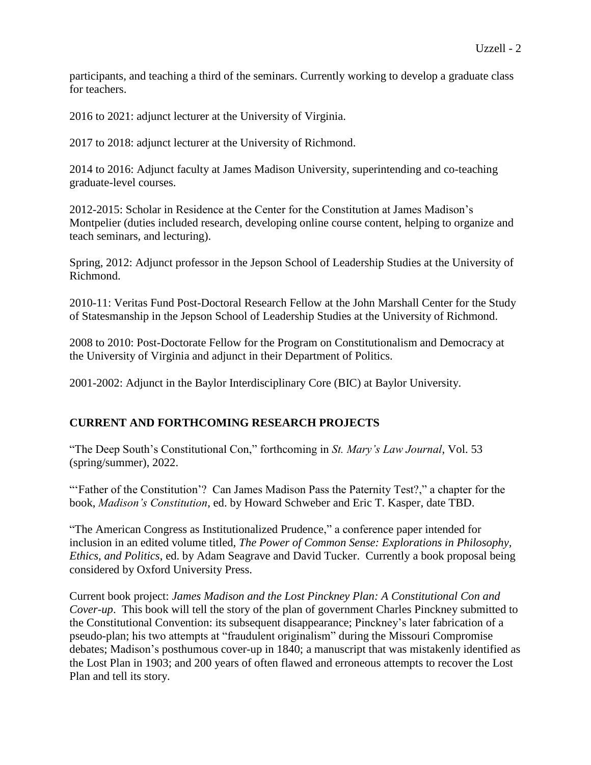participants, and teaching a third of the seminars. Currently working to develop a graduate class for teachers.

2016 to 2021: adjunct lecturer at the University of Virginia.

2017 to 2018: adjunct lecturer at the University of Richmond.

2014 to 2016: Adjunct faculty at James Madison University, superintending and co-teaching graduate-level courses.

2012-2015: Scholar in Residence at the Center for the Constitution at James Madison's Montpelier (duties included research, developing online course content, helping to organize and teach seminars, and lecturing).

Spring, 2012: Adjunct professor in the Jepson School of Leadership Studies at the University of Richmond.

2010-11: Veritas Fund Post-Doctoral Research Fellow at the John Marshall Center for the Study of Statesmanship in the Jepson School of Leadership Studies at the University of Richmond.

2008 to 2010: Post-Doctorate Fellow for the Program on Constitutionalism and Democracy at the University of Virginia and adjunct in their Department of Politics.

2001-2002: Adjunct in the Baylor Interdisciplinary Core (BIC) at Baylor University.

### **CURRENT AND FORTHCOMING RESEARCH PROJECTS**

"The Deep South's Constitutional Con," forthcoming in *St. Mary's Law Journal*, Vol. 53 (spring/summer), 2022.

"'Father of the Constitution'? Can James Madison Pass the Paternity Test?," a chapter for the book, *Madison's Constitution*, ed. by Howard Schweber and Eric T. Kasper, date TBD.

"The American Congress as Institutionalized Prudence," a conference paper intended for inclusion in an edited volume titled, *The Power of Common Sense: Explorations in Philosophy, Ethics, and Politics*, ed. by Adam Seagrave and David Tucker. Currently a book proposal being considered by Oxford University Press.

Current book project: *James Madison and the Lost Pinckney Plan: A Constitutional Con and Cover-up*. This book will tell the story of the plan of government Charles Pinckney submitted to the Constitutional Convention: its subsequent disappearance; Pinckney's later fabrication of a pseudo-plan; his two attempts at "fraudulent originalism" during the Missouri Compromise debates; Madison's posthumous cover-up in 1840; a manuscript that was mistakenly identified as the Lost Plan in 1903; and 200 years of often flawed and erroneous attempts to recover the Lost Plan and tell its story.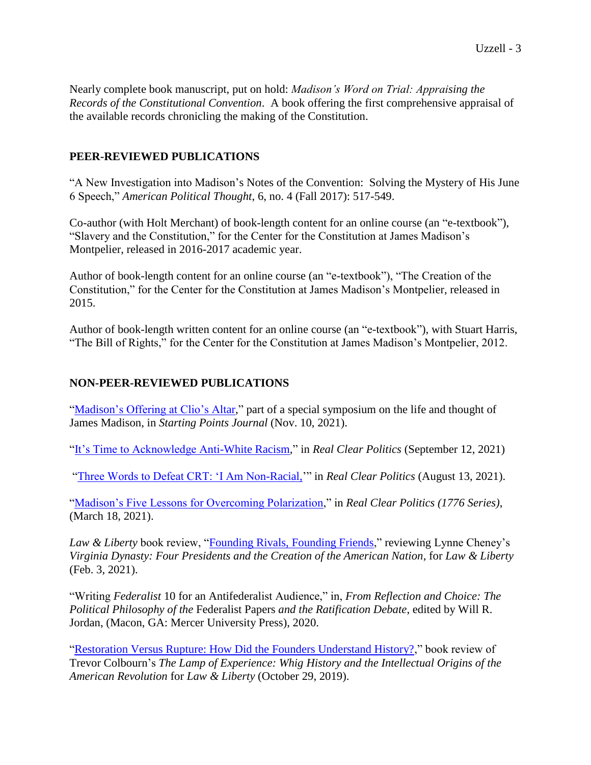Nearly complete book manuscript, put on hold: *Madison's Word on Trial: Appraising the Records of the Constitutional Convention*. A book offering the first comprehensive appraisal of the available records chronicling the making of the Constitution.

#### **PEER-REVIEWED PUBLICATIONS**

"A New Investigation into Madison's Notes of the Convention: Solving the Mystery of His June 6 Speech," *American Political Thought*, 6, no. 4 (Fall 2017): 517-549.

Co-author (with Holt Merchant) of book-length content for an online course (an "e-textbook"), "Slavery and the Constitution," for the Center for the Constitution at James Madison's Montpelier, released in 2016-2017 academic year.

Author of book-length content for an online course (an "e-textbook"), "The Creation of the Constitution," for the Center for the Constitution at James Madison's Montpelier, released in 2015.

Author of book-length written content for an online course (an "e-textbook"), with Stuart Harris, "The Bill of Rights," for the Center for the Constitution at James Madison's Montpelier, 2012.

### **NON-PEER-REVIEWED PUBLICATIONS**

["Madison's Offering at Clio's Altar,](https://startingpointsjournal.com/madisons-offering-at-clios-altar/)" part of a special symposium on the life and thought of James Madison, in *Starting Points Journal* (Nov. 10, 2021).

["It's Time to Acknowledge Anti-White Racism,](https://www.realclearpolitics.com/articles/2021/09/12/its_time_to_acknowledge_anti-white_racism_146391.html)" in *Real Clear Politics* (September 12, 2021)

["Three Words to Defeat CRT: 'I Am Non-Racial,'](https://na01.safelinks.protection.outlook.com/?url=https%3A%2F%2Fwww.realclearpolitics.com%2Farticles%2F2021%2F08%2F13%2Fthree_words_to_defeat_crt_i_am_non-racial_146239.html&data=04%7C01%7C%7Cbef64bc7c4754a39eeb808d960d08248%7C84df9e7fe9f640afb435aaaaaaaaaaaa%7C1%7C0%7C637647270920051891%7CUnknown%7CTWFpbGZsb3d8eyJWIjoiMC4wLjAwMDAiLCJQIjoiV2luMzIiLCJBTiI6Ik1haWwiLCJXVCI6Mn0%3D%7C1000&sdata=Fz3jI%2FmGBY%2B20gpjdgVHc0mLOK%2Fshyhj0FzEp%2BbXFGw%3D&reserved=0)" in *Real Clear Politics* (August 13, 2021).

["Madison's Five Lessons for Overcoming Polarization,](https://www.realclearpublicaffairs.com/articles/2021/03/18/madisons_five_lessons_for_overcoming_polarization_660476.html)" in *Real Clear Politics (1776 Series)*, (March 18, 2021).

*Law & Liberty* book review, ["Founding Rivals, Founding Friends,](https://lawliberty.org/book-review/virginias-founding-friends/)" reviewing Lynne Cheney's *Virginia Dynasty: Four Presidents and the Creation of the American Nation*, for *Law & Liberty* (Feb. 3, 2021).

"Writing *Federalist* 10 for an Antifederalist Audience," in, *From Reflection and Choice: The Political Philosophy of the* Federalist Papers *and the Ratification Debate*, edited by Will R. Jordan, (Macon, GA: Mercer University Press), 2020.

["Restoration Versus Rupture: How Did the Founders Understand History?,](https://www.lawliberty.org/liberty-classic/restoration-versus-rupture-how-did-the-founders-understand-history/)" book review of Trevor Colbourn's *The Lamp of Experience: Whig History and the Intellectual Origins of the American Revolution* for *Law & Liberty* (October 29, 2019).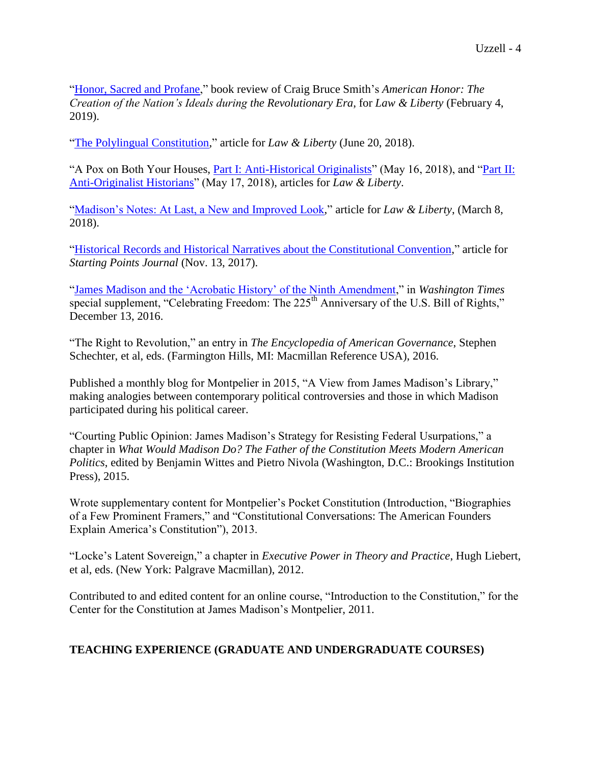["Honor, Sacred and Profane,](https://www.lawliberty.org/book-review/honor-sacred-and-profane/)" book review of Craig Bruce Smith's *American Honor: The Creation of the Nation's Ideals during the Revolutionary Era*, for *Law & Liberty* (February 4, 2019).

["The Polylingual Constitution,](http://www.libertylawsite.org/2018/06/20/legal-the-polylingual-constitution/)" article for *Law & Liberty* (June 20, 2018).

"A Pox on Both Your Houses, [Part I: Anti-Historical Originalists"](http://www.libertylawsite.org/2018/05/16/a-pox-on-both-your-houses-part-i-anti-historical-originalists-mary-sarah-bilder-madisons-hand/) (May 16, 2018), and ["Part II:](http://www.libertylawsite.org/2018/05/17/a-pox-on-both-your-houses-part-ii-anti-originalist-historians-mary-sarah-bilder-madisons-hand/)  [Anti-Originalist Historians"](http://www.libertylawsite.org/2018/05/17/a-pox-on-both-your-houses-part-ii-anti-originalist-historians-mary-sarah-bilder-madisons-hand/) (May 17, 2018), articles for *Law & Liberty*.

["Madison's Notes: At Last, a New and Improved Look,](http://www.libertylawsite.org/2018/03/08/madisons-notes-at-last-a-new-and-improved-look/)" article for *Law & Liberty*, (March 8, 2018).

["Historical Records and Historical Narratives about the Constitutional Convention,](http://startingpointsjournal.com/historical-records-historical-narratives-constitutional-convention/)" article for *Starting Points Journal* (Nov. 13, 2017).

["James Madison and the 'Acrobatic History' of the Ninth Amendment,](https://www.washingtontimes.com/news/2016/dec/12/james-madison-and-the-acrobatic-history-of-the-nin/)" in *Washington Times* special supplement, "Celebrating Freedom: The 225<sup>th</sup> Anniversary of the U.S. Bill of Rights." December 13, 2016.

"The Right to Revolution," an entry in *The Encyclopedia of American Governance*, Stephen Schechter, et al, eds. (Farmington Hills, MI: Macmillan Reference USA), 2016.

Published a monthly blog for Montpelier in 2015, "A View from James Madison's Library," making analogies between contemporary political controversies and those in which Madison participated during his political career.

"Courting Public Opinion: James Madison's Strategy for Resisting Federal Usurpations," a chapter in *What Would Madison Do? The Father of the Constitution Meets Modern American Politics*, edited by Benjamin Wittes and Pietro Nivola (Washington, D.C.: Brookings Institution Press), 2015.

Wrote supplementary content for Montpelier's Pocket Constitution (Introduction, "Biographies of a Few Prominent Framers," and "Constitutional Conversations: The American Founders Explain America's Constitution"), 2013.

"Locke's Latent Sovereign," a chapter in *Executive Power in Theory and Practice*, Hugh Liebert, et al, eds. (New York: Palgrave Macmillan), 2012.

Contributed to and edited content for an online course, "Introduction to the Constitution," for the Center for the Constitution at James Madison's Montpelier, 2011.

### **TEACHING EXPERIENCE (GRADUATE AND UNDERGRADUATE COURSES)**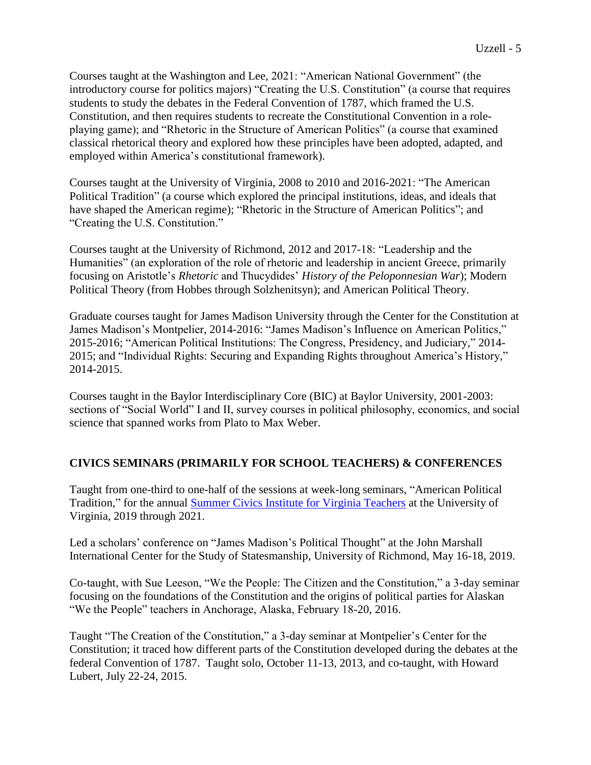Courses taught at the Washington and Lee, 2021: "American National Government" (the introductory course for politics majors) "Creating the U.S. Constitution" (a course that requires students to study the debates in the Federal Convention of 1787, which framed the U.S. Constitution, and then requires students to recreate the Constitutional Convention in a roleplaying game); and "Rhetoric in the Structure of American Politics" (a course that examined classical rhetorical theory and explored how these principles have been adopted, adapted, and employed within America's constitutional framework).

Courses taught at the University of Virginia, 2008 to 2010 and 2016-2021: "The American Political Tradition" (a course which explored the principal institutions, ideas, and ideals that have shaped the American regime); "Rhetoric in the Structure of American Politics"; and "Creating the U.S. Constitution."

Courses taught at the University of Richmond, 2012 and 2017-18: "Leadership and the Humanities" (an exploration of the role of rhetoric and leadership in ancient Greece, primarily focusing on Aristotle's *Rhetoric* and Thucydides' *History of the Peloponnesian War*); Modern Political Theory (from Hobbes through Solzhenitsyn); and American Political Theory.

Graduate courses taught for James Madison University through the Center for the Constitution at James Madison's Montpelier, 2014-2016: "James Madison's Influence on American Politics," 2015-2016; "American Political Institutions: The Congress, Presidency, and Judiciary," 2014- 2015; and "Individual Rights: Securing and Expanding Rights throughout America's History," 2014-2015.

Courses taught in the Baylor Interdisciplinary Core (BIC) at Baylor University, 2001-2003: sections of "Social World" I and II, survey courses in political philosophy, economics, and social science that spanned works from Plato to Max Weber.

## **CIVICS SEMINARS (PRIMARILY FOR SCHOOL TEACHERS) & CONFERENCES**

Taught from one-third to one-half of the sessions at week-long seminars, "American Political Tradition," for the annual [Summer Civics Institute for Virginia Teachers](https://pcd.virginia.edu/summer-civics-institute-for-virginia-teachers/) at the University of Virginia, 2019 through 2021.

Led a scholars' conference on "James Madison's Political Thought" at the John Marshall International Center for the Study of Statesmanship, University of Richmond, May 16-18, 2019.

Co-taught, with Sue Leeson, "We the People: The Citizen and the Constitution," a 3-day seminar focusing on the foundations of the Constitution and the origins of political parties for Alaskan "We the People" teachers in Anchorage, Alaska, February 18-20, 2016.

Taught "The Creation of the Constitution," a 3-day seminar at Montpelier's Center for the Constitution; it traced how different parts of the Constitution developed during the debates at the federal Convention of 1787. Taught solo, October 11-13, 2013, and co-taught, with Howard Lubert, July 22-24, 2015.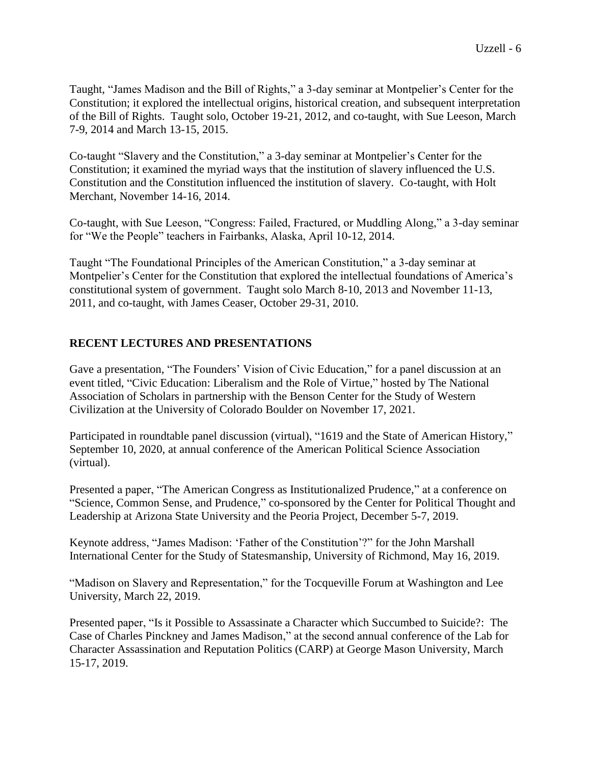Taught, "James Madison and the Bill of Rights," a 3-day seminar at Montpelier's Center for the Constitution; it explored the intellectual origins, historical creation, and subsequent interpretation of the Bill of Rights. Taught solo, October 19-21, 2012, and co-taught, with Sue Leeson, March 7-9, 2014 and March 13-15, 2015.

Co-taught "Slavery and the Constitution," a 3-day seminar at Montpelier's Center for the Constitution; it examined the myriad ways that the institution of slavery influenced the U.S. Constitution and the Constitution influenced the institution of slavery. Co-taught, with Holt Merchant, November 14-16, 2014.

Co-taught, with Sue Leeson, "Congress: Failed, Fractured, or Muddling Along," a 3-day seminar for "We the People" teachers in Fairbanks, Alaska, April 10-12, 2014.

Taught "The Foundational Principles of the American Constitution," a 3-day seminar at Montpelier's Center for the Constitution that explored the intellectual foundations of America's constitutional system of government. Taught solo March 8-10, 2013 and November 11-13, 2011, and co-taught, with James Ceaser, October 29-31, 2010.

### **RECENT LECTURES AND PRESENTATIONS**

Gave a presentation, "The Founders' Vision of Civic Education," for a panel discussion at an event titled, "Civic Education: Liberalism and the Role of Virtue," hosted by The National Association of Scholars in partnership with the Benson Center for the Study of Western Civilization at the University of Colorado Boulder on November 17, 2021.

Participated in roundtable panel discussion (virtual), "1619 and the State of American History," September 10, 2020, at annual conference of the American Political Science Association (virtual).

Presented a paper, "The American Congress as Institutionalized Prudence," at a conference on "Science, Common Sense, and Prudence," co-sponsored by the Center for Political Thought and Leadership at Arizona State University and the Peoria Project, December 5-7, 2019.

Keynote address, "James Madison: 'Father of the Constitution'?" for the John Marshall International Center for the Study of Statesmanship, University of Richmond, May 16, 2019.

"Madison on Slavery and Representation," for the Tocqueville Forum at Washington and Lee University, March 22, 2019.

Presented paper, "Is it Possible to Assassinate a Character which Succumbed to Suicide?: The Case of Charles Pinckney and James Madison," at the second annual conference of the Lab for Character Assassination and Reputation Politics (CARP) at George Mason University, March 15-17, 2019.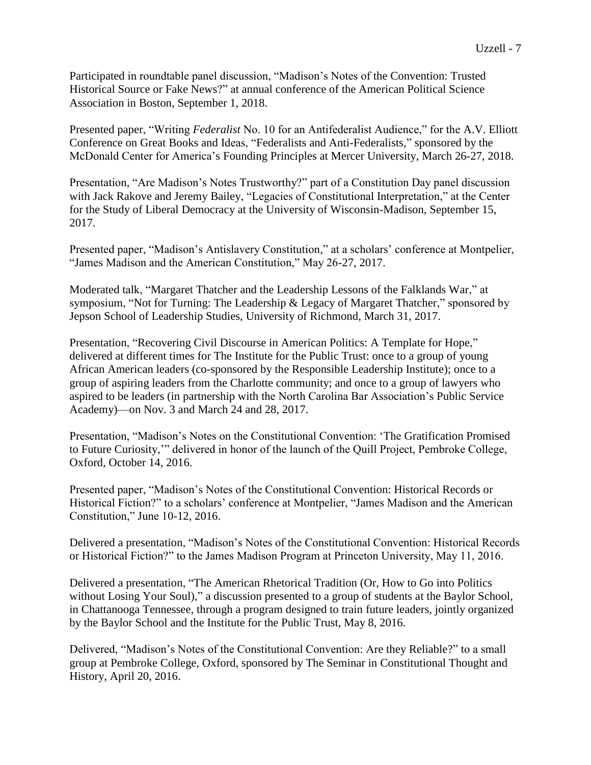Participated in roundtable panel discussion, "Madison's Notes of the Convention: Trusted Historical Source or Fake News?" at annual conference of the American Political Science Association in Boston, September 1, 2018.

Presented paper, "Writing *Federalist* No. 10 for an Antifederalist Audience," for the A.V. Elliott Conference on Great Books and Ideas, "Federalists and Anti-Federalists," sponsored by the McDonald Center for America's Founding Principles at Mercer University, March 26-27, 2018.

Presentation, "Are Madison's Notes Trustworthy?" part of a Constitution Day panel discussion with Jack Rakove and Jeremy Bailey, "Legacies of Constitutional Interpretation," at the Center for the Study of Liberal Democracy at the University of Wisconsin-Madison, September 15, 2017.

Presented paper, "Madison's Antislavery Constitution," at a scholars' conference at Montpelier, "James Madison and the American Constitution," May 26-27, 2017.

Moderated talk, "Margaret Thatcher and the Leadership Lessons of the Falklands War," at symposium, "Not for Turning: The Leadership & Legacy of Margaret Thatcher," sponsored by Jepson School of Leadership Studies, University of Richmond, March 31, 2017.

Presentation, "Recovering Civil Discourse in American Politics: A Template for Hope," delivered at different times for The Institute for the Public Trust: once to a group of young African American leaders (co-sponsored by the Responsible Leadership Institute); once to a group of aspiring leaders from the Charlotte community; and once to a group of lawyers who aspired to be leaders (in partnership with the North Carolina Bar Association's Public Service Academy)—on Nov. 3 and March 24 and 28, 2017.

Presentation, "Madison's Notes on the Constitutional Convention: 'The Gratification Promised to Future Curiosity,'" delivered in honor of the launch of the Quill Project, Pembroke College, Oxford, October 14, 2016.

Presented paper, "Madison's Notes of the Constitutional Convention: Historical Records or Historical Fiction?" to a scholars' conference at Montpelier, "James Madison and the American Constitution," June 10-12, 2016.

Delivered a presentation, "Madison's Notes of the Constitutional Convention: Historical Records or Historical Fiction?" to the James Madison Program at Princeton University, May 11, 2016.

Delivered a presentation, "The American Rhetorical Tradition (Or, How to Go into Politics without Losing Your Soul)," a discussion presented to a group of students at the Baylor School, in Chattanooga Tennessee, through a program designed to train future leaders, jointly organized by the Baylor School and the Institute for the Public Trust, May 8, 2016.

Delivered, "Madison's Notes of the Constitutional Convention: Are they Reliable?" to a small group at Pembroke College, Oxford, sponsored by The Seminar in Constitutional Thought and History, April 20, 2016.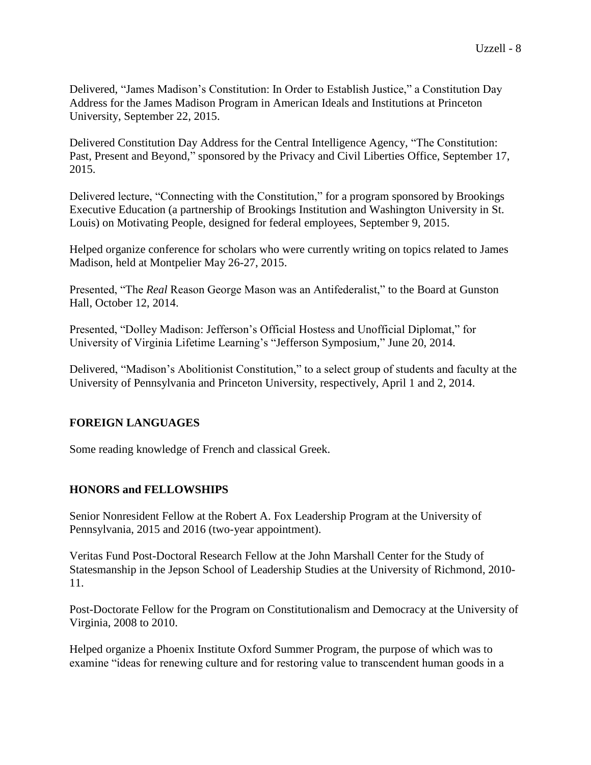Delivered, "James Madison's Constitution: In Order to Establish Justice," a Constitution Day Address for the James Madison Program in American Ideals and Institutions at Princeton University, September 22, 2015.

Delivered Constitution Day Address for the Central Intelligence Agency, "The Constitution: Past, Present and Beyond," sponsored by the Privacy and Civil Liberties Office, September 17, 2015.

Delivered lecture, "Connecting with the Constitution," for a program sponsored by Brookings Executive Education (a partnership of Brookings Institution and Washington University in St. Louis) on Motivating People, designed for federal employees, September 9, 2015.

Helped organize conference for scholars who were currently writing on topics related to James Madison, held at Montpelier May 26-27, 2015.

Presented, "The *Real* Reason George Mason was an Antifederalist," to the Board at Gunston Hall, October 12, 2014.

Presented, "Dolley Madison: Jefferson's Official Hostess and Unofficial Diplomat," for University of Virginia Lifetime Learning's "Jefferson Symposium," June 20, 2014.

Delivered, "Madison's Abolitionist Constitution," to a select group of students and faculty at the University of Pennsylvania and Princeton University, respectively, April 1 and 2, 2014.

### **FOREIGN LANGUAGES**

Some reading knowledge of French and classical Greek.

### **HONORS and FELLOWSHIPS**

Senior Nonresident Fellow at the Robert A. Fox Leadership Program at the University of Pennsylvania, 2015 and 2016 (two-year appointment).

Veritas Fund Post-Doctoral Research Fellow at the John Marshall Center for the Study of Statesmanship in the Jepson School of Leadership Studies at the University of Richmond, 2010- 11.

Post-Doctorate Fellow for the Program on Constitutionalism and Democracy at the University of Virginia, 2008 to 2010.

Helped organize a Phoenix Institute Oxford Summer Program, the purpose of which was to examine "ideas for renewing culture and for restoring value to transcendent human goods in a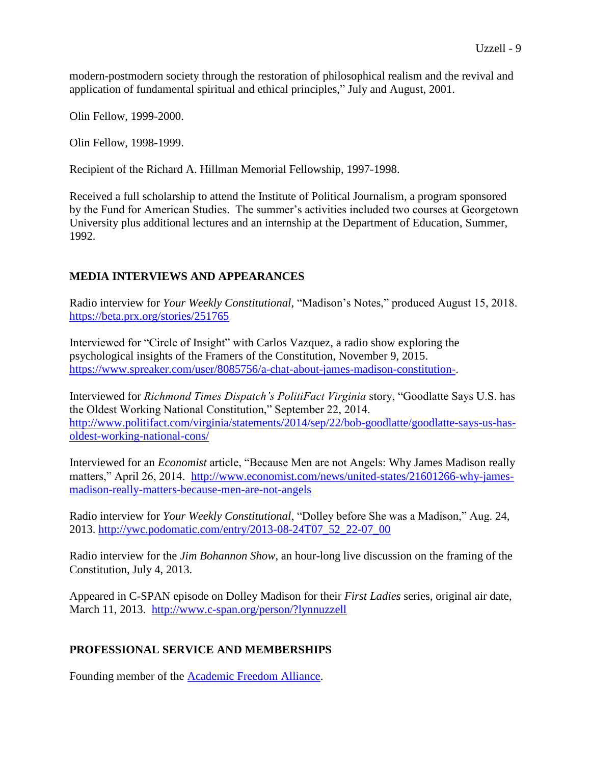modern-postmodern society through the restoration of philosophical realism and the revival and application of fundamental spiritual and ethical principles," July and August, 2001.

Olin Fellow, 1999-2000.

Olin Fellow, 1998-1999.

Recipient of the Richard A. Hillman Memorial Fellowship, 1997-1998.

Received a full scholarship to attend the Institute of Political Journalism, a program sponsored by the Fund for American Studies. The summer's activities included two courses at Georgetown University plus additional lectures and an internship at the Department of Education, Summer, 1992.

#### **MEDIA INTERVIEWS AND APPEARANCES**

Radio interview for *Your Weekly Constitutional*, "Madison's Notes," produced August 15, 2018. <https://beta.prx.org/stories/251765>

Interviewed for "Circle of Insight" with Carlos Vazquez, a radio show exploring the psychological insights of the Framers of the Constitution, November 9, 2015. [https://www.spreaker.com/user/8085756/a-chat-about-james-madison-constitution-.](https://www.spreaker.com/user/8085756/a-chat-about-james-madison-constitution-)

Interviewed for *Richmond Times Dispatch's PolitiFact Virginia* story, "Goodlatte Says U.S. has the Oldest Working National Constitution," September 22, 2014. [http://www.politifact.com/virginia/statements/2014/sep/22/bob-goodlatte/goodlatte-says-us-has](http://www.politifact.com/virginia/statements/2014/sep/22/bob-goodlatte/goodlatte-says-us-has-oldest-working-national-cons/)[oldest-working-national-cons/](http://www.politifact.com/virginia/statements/2014/sep/22/bob-goodlatte/goodlatte-says-us-has-oldest-working-national-cons/)

Interviewed for an *Economist* article, "Because Men are not Angels: Why James Madison really matters," April 26, 2014. [http://www.economist.com/news/united-states/21601266-why-james](http://www.economist.com/news/united-states/21601266-why-james-madison-really-matters-because-men-are-not-angels)[madison-really-matters-because-men-are-not-angels](http://www.economist.com/news/united-states/21601266-why-james-madison-really-matters-because-men-are-not-angels)

Radio interview for *Your Weekly Constitutional*, "Dolley before She was a Madison," Aug. 24, 2013. [http://ywc.podomatic.com/entry/2013-08-24T07\\_52\\_22-07\\_00](http://ywc.podomatic.com/entry/2013-08-24T07_52_22-07_00)

Radio interview for the *Jim Bohannon Show*, an hour-long live discussion on the framing of the Constitution, July 4, 2013.

Appeared in C-SPAN episode on Dolley Madison for their *First Ladies* series, original air date, March 11, 2013. <http://www.c-span.org/person/?lynnuzzell>

#### **PROFESSIONAL SERVICE AND MEMBERSHIPS**

Founding member of the [Academic Freedom Alliance.](https://academicfreedom.org/)